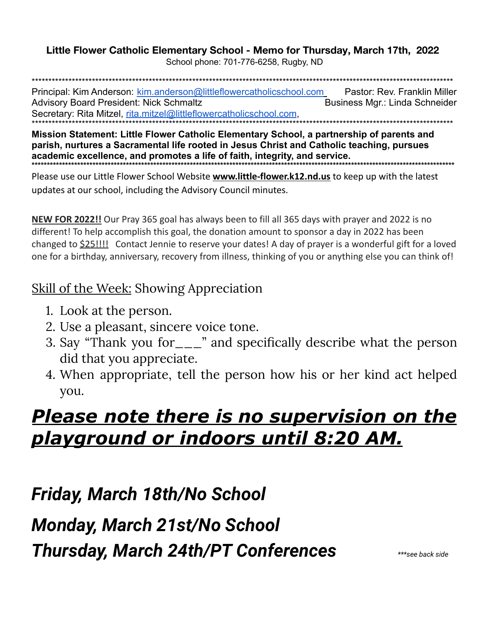#### Little Flower Catholic Elementary School - Memo for Thursday, March 17th, 2022 School phone: 701-776-6258, Rugby, ND

Principal: Kim Anderson: kim.anderson@littleflowercatholicschool.com Pastor: Rev. Franklin Miller **Advisory Board President: Nick Schmaltz** Business Mgr.: Linda Schneider Secretary: Rita Mitzel, rita.mitzel@littleflowercatholicschool.com.

Mission Statement: Little Flower Catholic Elementary School, a partnership of parents and parish, nurtures a Sacramental life rooted in Jesus Christ and Catholic teaching, pursues academic excellence, and promotes a life of faith, integrity, and service.

Please use our Little Flower School Website **www.little-flower.k12.nd.us** to keep up with the latest updates at our school, including the Advisory Council minutes.

NEW FOR 2022!! Our Pray 365 goal has always been to fill all 365 days with prayer and 2022 is no different! To help accomplish this goal, the donation amount to sponsor a day in 2022 has been changed to **\$25!!!!** Contact Jennie to reserve your dates! A day of prayer is a wonderful gift for a loved one for a birthday, anniversary, recovery from illness, thinking of you or anything else you can think of!

### **Skill of the Week: Showing Appreciation**

- 1. Look at the person.
- 2. Use a pleasant, sincere voice tone.
- 3. Say "Thank you for\_\_\_" and specifically describe what the person did that you appreciate.
- 4. When appropriate, tell the person how his or her kind act helped you.

# <u>Please note there is no supervision on the </u> <u>playground or indoors until 8:20 AM.</u>

Friday, March 18th/No School

**Monday, March 21st/No School** 

**Thursday, March 24th/PT Conferences**